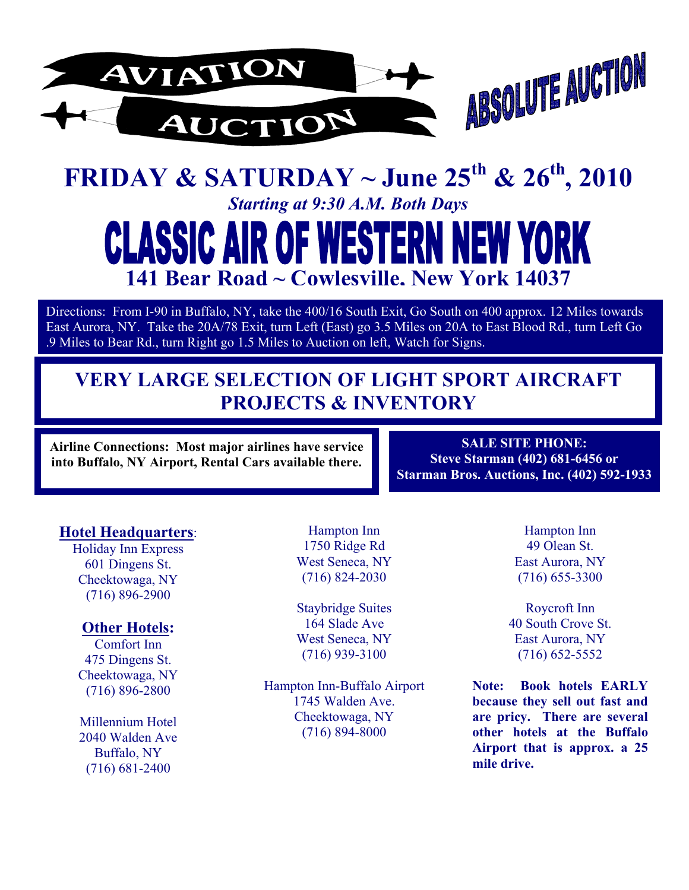

# **FRIDAY & SATURDAY ~ June 25th & 26th, 2010**  *Starting at 9:30 A.M. Both Days*  **SSIC AIR OF WEST** NEW YORK **141 Bear Road ~ Cowlesville, New York 14037**

Directions: From I-90 in Buffalo, NY, take the 400/16 South Exit, Go South on 400 approx. 12 Miles towards East Aurora, NY. Take the 20A/78 Exit, turn Left (East) go 3.5 Miles on 20A to East Blood Rd., turn Left Go .9 Miles to Bear Rd., turn Right go 1.5 Miles to Auction on left, Watch for Signs.

# **VERY LARGE SELECTION OF LIGHT SPORT AIRCRAFT PROJECTS & INVENTORY**

**Airline Connections: Most major airlines have service into Buffalo, NY Airport, Rental Cars available there.** 

**SALE SITE PHONE: Steve Starman (402) 681-6456 or Starman Bros. Auctions, Inc. (402) 592-1933** 

### **Hotel Headquarters**:

Holiday Inn Express 601 Dingens St. Cheektowaga, NY (716) 896-2900

### **Other Hotels:**

Comfort Inn 475 Dingens St. Cheektowaga, NY (716) 896-2800

Millennium Hotel 2040 Walden Ave Buffalo, NY (716) 681-2400

Hampton Inn 1750 Ridge Rd West Seneca, NY (716) 824-2030

Staybridge Suites 164 Slade Ave West Seneca, NY (716) 939-3100

Hampton Inn-Buffalo Airport 1745 Walden Ave. Cheektowaga, NY (716) 894-8000

Hampton Inn 49 Olean St. East Aurora, NY (716) 655-3300

Roycroft Inn 40 South Crove St. East Aurora, NY (716) 652-5552

**Note: Book hotels EARLY because they sell out fast and are pricy. There are several other hotels at the Buffalo Airport that is approx. a 25 mile drive.**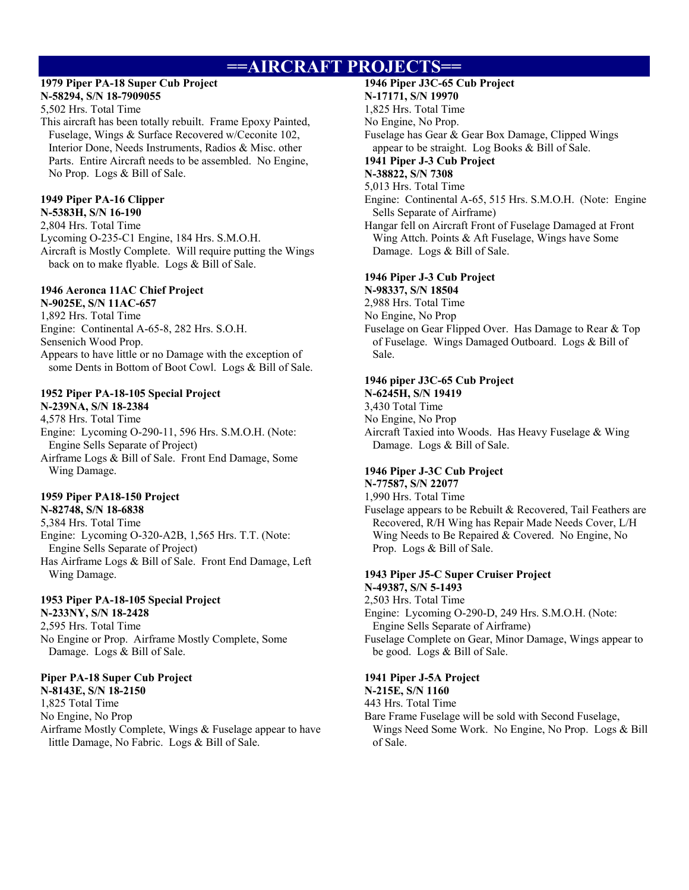# **==AIRCRAFT PROJECTS==**

#### **1979 Piper PA-18 Super Cub Project N-58294, S/N 18-7909055**

5,502 Hrs. Total Time

This aircraft has been totally rebuilt. Frame Epoxy Painted, Fuselage, Wings & Surface Recovered w/Ceconite 102, Interior Done, Needs Instruments, Radios & Misc. other Parts. Entire Aircraft needs to be assembled. No Engine, No Prop. Logs & Bill of Sale.

#### **1949 Piper PA-16 Clipper N-5383H, S/N 16-190**

2,804 Hrs. Total Time Lycoming O-235-C1 Engine, 184 Hrs. S.M.O.H. Aircraft is Mostly Complete. Will require putting the Wings back on to make flyable. Logs & Bill of Sale.

### **1946 Aeronca 11AC Chief Project**

**N-9025E, S/N 11AC-657**  1,892 Hrs. Total Time Engine: Continental A-65-8, 282 Hrs. S.O.H. Sensenich Wood Prop. Appears to have little or no Damage with the exception of some Dents in Bottom of Boot Cowl. Logs & Bill of Sale.

### **1952 Piper PA-18-105 Special Project**

**N-239NA, S/N 18-2384**  4,578 Hrs. Total Time Engine: Lycoming O-290-11, 596 Hrs. S.M.O.H. (Note: Engine Sells Separate of Project) Airframe Logs & Bill of Sale. Front End Damage, Some Wing Damage.

#### **1959 Piper PA18-150 Project N-82748, S/N 18-6838**

5,384 Hrs. Total Time Engine: Lycoming O-320-A2B, 1,565 Hrs. T.T. (Note: Engine Sells Separate of Project) Has Airframe Logs & Bill of Sale. Front End Damage, Left Wing Damage.

### **1953 Piper PA-18-105 Special Project**

**N-233NY, S/N 18-2428**  2,595 Hrs. Total Time No Engine or Prop. Airframe Mostly Complete, Some Damage. Logs & Bill of Sale.

#### **Piper PA-18 Super Cub Project**

**N-8143E, S/N 18-2150**  1,825 Total Time No Engine, No Prop Airframe Mostly Complete, Wings & Fuselage appear to have little Damage, No Fabric. Logs & Bill of Sale.

#### **1946 Piper J3C-65 Cub Project**

#### **N-17171, S/N 19970**

1,825 Hrs. Total Time

No Engine, No Prop.

Fuselage has Gear & Gear Box Damage, Clipped Wings appear to be straight. Log Books & Bill of Sale.

### **1941 Piper J-3 Cub Project**

### **N-38822, S/N 7308**

5,013 Hrs. Total Time

Engine: Continental A-65, 515 Hrs. S.M.O.H. (Note: Engine Sells Separate of Airframe)

Hangar fell on Aircraft Front of Fuselage Damaged at Front Wing Attch. Points & Aft Fuselage, Wings have Some Damage. Logs & Bill of Sale.

### **1946 Piper J-3 Cub Project**

**N-98337, S/N 18504** 

2,988 Hrs. Total Time

No Engine, No Prop

Fuselage on Gear Flipped Over. Has Damage to Rear & Top of Fuselage. Wings Damaged Outboard. Logs & Bill of Sale.

#### **1946 piper J3C-65 Cub Project N-6245H, S/N 19419**

3,430 Total Time

No Engine, No Prop

Aircraft Taxied into Woods. Has Heavy Fuselage & Wing Damage. Logs & Bill of Sale.

#### **1946 Piper J-3C Cub Project**

**N-77587, S/N 22077** 

1,990 Hrs. Total Time Fuselage appears to be Rebuilt & Recovered, Tail Feathers are Recovered, R/H Wing has Repair Made Needs Cover, L/H Wing Needs to Be Repaired & Covered. No Engine, No Prop. Logs & Bill of Sale.

#### **1943 Piper J5-C Super Cruiser Project N-49387, S/N 5-1493**

2,503 Hrs. Total Time

Engine: Lycoming O-290-D, 249 Hrs. S.M.O.H. (Note: Engine Sells Separate of Airframe)

Fuselage Complete on Gear, Minor Damage, Wings appear to be good. Logs & Bill of Sale.

### **1941 Piper J-5A Project**

#### **N-215E, S/N 1160**

443 Hrs. Total Time

Bare Frame Fuselage will be sold with Second Fuselage,

Wings Need Some Work. No Engine, No Prop. Logs & Bill of Sale.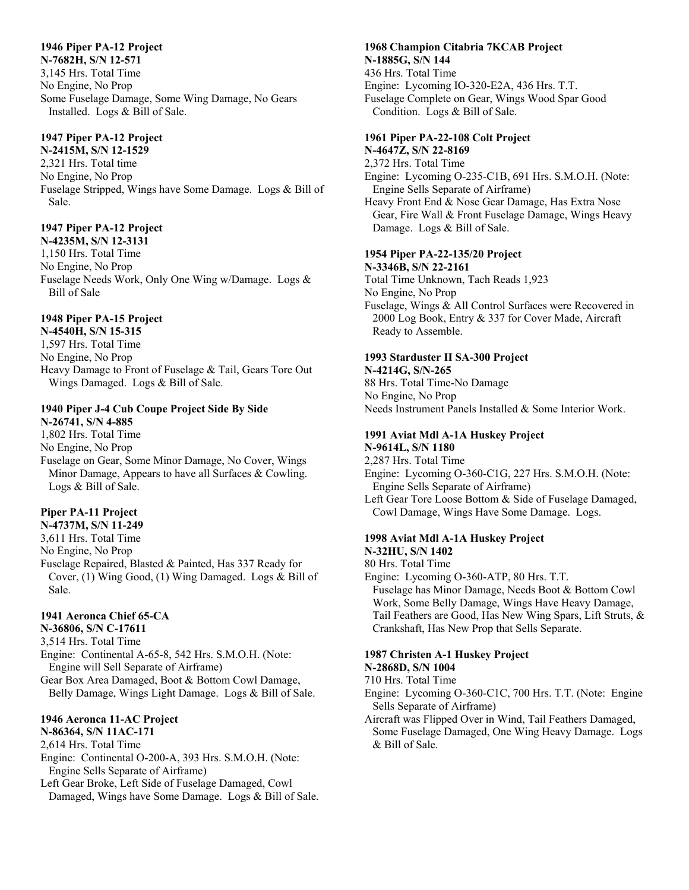#### **1946 Piper PA-12 Project**

**N-7682H, S/N 12-571**  3,145 Hrs. Total Time No Engine, No Prop Some Fuselage Damage, Some Wing Damage, No Gears Installed. Logs & Bill of Sale.

### **1947 Piper PA-12 Project**

**N-2415M, S/N 12-1529**  2,321 Hrs. Total time No Engine, No Prop Fuselage Stripped, Wings have Some Damage. Logs & Bill of Sale.

### **1947 Piper PA-12 Project**

**N-4235M, S/N 12-3131**  1,150 Hrs. Total Time No Engine, No Prop Fuselage Needs Work, Only One Wing w/Damage. Logs & Bill of Sale

### **1948 Piper PA-15 Project**

**N-4540H, S/N 15-315**  1,597 Hrs. Total Time No Engine, No Prop Heavy Damage to Front of Fuselage & Tail, Gears Tore Out Wings Damaged. Logs & Bill of Sale.

#### **1940 Piper J-4 Cub Coupe Project Side By Side**

**N-26741, S/N 4-885**  1,802 Hrs. Total Time No Engine, No Prop Fuselage on Gear, Some Minor Damage, No Cover, Wings Minor Damage, Appears to have all Surfaces & Cowling. Logs & Bill of Sale.

#### **Piper PA-11 Project**

**N-4737M, S/N 11-249** 

3,611 Hrs. Total Time

No Engine, No Prop

Fuselage Repaired, Blasted & Painted, Has 337 Ready for Cover, (1) Wing Good, (1) Wing Damaged. Logs & Bill of Sale.

#### **1941 Aeronca Chief 65-CA**

**N-36806, S/N C-17611** 

3,514 Hrs. Total Time

Engine: Continental A-65-8, 542 Hrs. S.M.O.H. (Note: Engine will Sell Separate of Airframe)

Gear Box Area Damaged, Boot & Bottom Cowl Damage, Belly Damage, Wings Light Damage. Logs & Bill of Sale.

### **1946 Aeronca 11-AC Project**

**N-86364, S/N 11AC-171**  2,614 Hrs. Total Time

Engine: Continental O-200-A, 393 Hrs. S.M.O.H. (Note: Engine Sells Separate of Airframe)

Left Gear Broke, Left Side of Fuselage Damaged, Cowl Damaged, Wings have Some Damage. Logs & Bill of Sale.

### **1968 Champion Citabria 7KCAB Project N-1885G, S/N 144**

436 Hrs. Total Time Engine: Lycoming IO-320-E2A, 436 Hrs. T.T. Fuselage Complete on Gear, Wings Wood Spar Good Condition. Logs & Bill of Sale.

#### **1961 Piper PA-22-108 Colt Project**

**N-4647Z, S/N 22-8169** 

2,372 Hrs. Total Time Engine: Lycoming O-235-C1B, 691 Hrs. S.M.O.H. (Note: Engine Sells Separate of Airframe)

Heavy Front End & Nose Gear Damage, Has Extra Nose Gear, Fire Wall & Front Fuselage Damage, Wings Heavy Damage. Logs & Bill of Sale.

## **1954 Piper PA-22-135/20 Project**

**N-3346B, S/N 22-2161**  Total Time Unknown, Tach Reads 1,923 No Engine, No Prop Fuselage, Wings & All Control Surfaces were Recovered in 2000 Log Book, Entry & 337 for Cover Made, Aircraft Ready to Assemble.

#### **1993 Starduster II SA-300 Project**

**N-4214G, S/N-265** 

88 Hrs. Total Time-No Damage No Engine, No Prop Needs Instrument Panels Installed & Some Interior Work.

#### **1991 Aviat Mdl A-1A Huskey Project**

**N-9614L, S/N 1180**  2,287 Hrs. Total Time Engine: Lycoming O-360-C1G, 227 Hrs. S.M.O.H. (Note: Engine Sells Separate of Airframe)

Left Gear Tore Loose Bottom & Side of Fuselage Damaged, Cowl Damage, Wings Have Some Damage. Logs.

#### **1998 Aviat Mdl A-1A Huskey Project N-32HU, S/N 1402**

80 Hrs. Total Time

Engine: Lycoming O-360-ATP, 80 Hrs. T.T. Fuselage has Minor Damage, Needs Boot & Bottom Cowl Work, Some Belly Damage, Wings Have Heavy Damage, Tail Feathers are Good, Has New Wing Spars, Lift Struts, & Crankshaft, Has New Prop that Sells Separate.

#### **1987 Christen A-1 Huskey Project N-2868D, S/N 1004**

#### 710 Hrs. Total Time

- Engine: Lycoming O-360-C1C, 700 Hrs. T.T. (Note: Engine Sells Separate of Airframe)
- Aircraft was Flipped Over in Wind, Tail Feathers Damaged, Some Fuselage Damaged, One Wing Heavy Damage. Logs & Bill of Sale.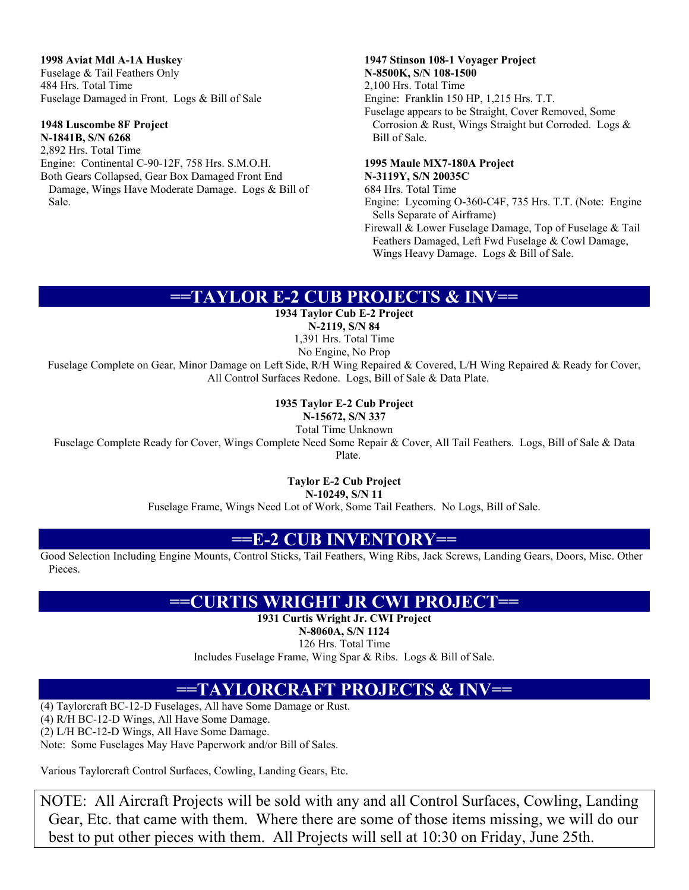**1998 Aviat Mdl A-1A Huskey** 

Fuselage & Tail Feathers Only 484 Hrs. Total Time Fuselage Damaged in Front. Logs & Bill of Sale

### **1948 Luscombe 8F Project**

**N-1841B, S/N 6268**  2,892 Hrs. Total Time Engine: Continental C-90-12F, 758 Hrs. S.M.O.H. Both Gears Collapsed, Gear Box Damaged Front End Damage, Wings Have Moderate Damage. Logs & Bill of Sale.

### **1947 Stinson 108-1 Voyager Project N-8500K, S/N 108-1500**

2,100 Hrs. Total Time Engine: Franklin 150 HP, 1,215 Hrs. T.T. Fuselage appears to be Straight, Cover Removed, Some Corrosion & Rust, Wings Straight but Corroded. Logs & Bill of Sale.

### **1995 Maule MX7-180A Project**

#### **N-3119Y, S/N 20035C**

684 Hrs. Total Time Engine: Lycoming O-360-C4F, 735 Hrs. T.T. (Note: Engine Sells Separate of Airframe)

Firewall & Lower Fuselage Damage, Top of Fuselage & Tail Feathers Damaged, Left Fwd Fuselage & Cowl Damage, Wings Heavy Damage. Logs & Bill of Sale.

## **==TAYLOR E-2 CUB PROJECTS & INV==**

**1934 Taylor Cub E-2 Project** 

**N-2119, S/N 84**  1,391 Hrs. Total Time

No Engine, No Prop

Fuselage Complete on Gear, Minor Damage on Left Side, R/H Wing Repaired & Covered, L/H Wing Repaired & Ready for Cover, All Control Surfaces Redone. Logs, Bill of Sale & Data Plate.

### **1935 Taylor E-2 Cub Project**

**N-15672, S/N 337** 

Total Time Unknown Fuselage Complete Ready for Cover, Wings Complete Need Some Repair & Cover, All Tail Feathers. Logs, Bill of Sale & Data Plate.

**Taylor E-2 Cub Project** 

**N-10249, S/N 11** 

Fuselage Frame, Wings Need Lot of Work, Some Tail Feathers. No Logs, Bill of Sale.

## **==E-2 CUB INVENTORY==**

Good Selection Including Engine Mounts, Control Sticks, Tail Feathers, Wing Ribs, Jack Screws, Landing Gears, Doors, Misc. Other Pieces.

## **==CURTIS WRIGHT JR CWI PROJECT==**

**1931 Curtis Wright Jr. CWI Project** 

**N-8060A, S/N 1124** 

126 Hrs. Total Time Includes Fuselage Frame, Wing Spar & Ribs. Logs & Bill of Sale.

## **==TAYLORCRAFT PROJECTS & INV==**

(4) Taylorcraft BC-12-D Fuselages, All have Some Damage or Rust. (4) R/H BC-12-D Wings, All Have Some Damage.

(2) L/H BC-12-D Wings, All Have Some Damage.

Note: Some Fuselages May Have Paperwork and/or Bill of Sales.

Various Taylorcraft Control Surfaces, Cowling, Landing Gears, Etc.

NOTE: All Aircraft Projects will be sold with any and all Control Surfaces, Cowling, Landing Gear, Etc. that came with them. Where there are some of those items missing, we will do our best to put other pieces with them. All Projects will sell at 10:30 on Friday, June 25th.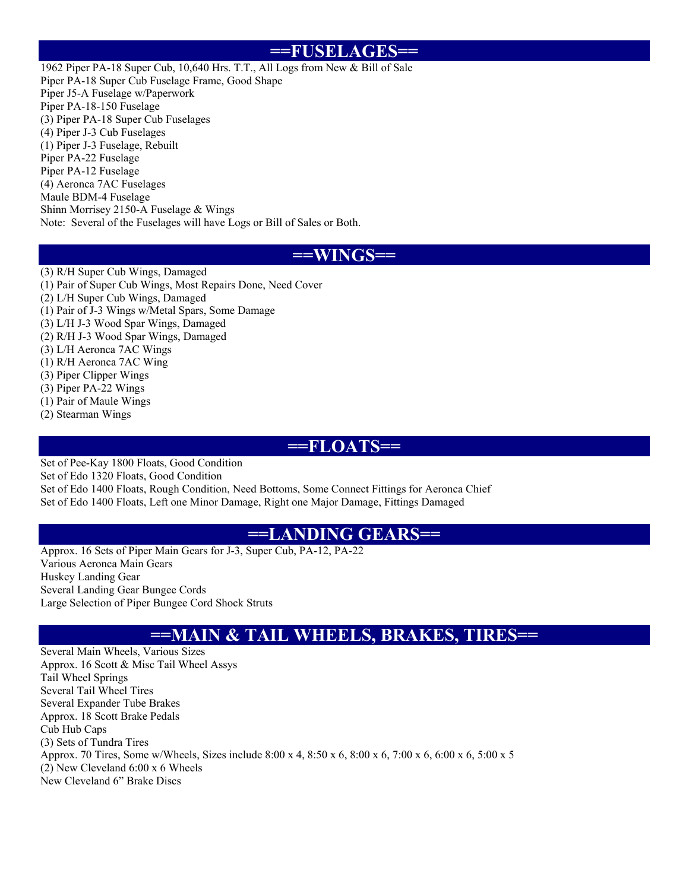### **==FUSELAGES==**

1962 Piper PA-18 Super Cub, 10,640 Hrs. T.T., All Logs from New & Bill of Sale Piper PA-18 Super Cub Fuselage Frame, Good Shape Piper J5-A Fuselage w/Paperwork Piper PA-18-150 Fuselage (3) Piper PA-18 Super Cub Fuselages (4) Piper J-3 Cub Fuselages (1) Piper J-3 Fuselage, Rebuilt Piper PA-22 Fuselage Piper PA-12 Fuselage (4) Aeronca 7AC Fuselages Maule BDM-4 Fuselage Shinn Morrisey 2150-A Fuselage & Wings Note: Several of the Fuselages will have Logs or Bill of Sales or Both.

### **==WINGS==**

(3) R/H Super Cub Wings, Damaged (1) Pair of Super Cub Wings, Most Repairs Done, Need Cover (2) L/H Super Cub Wings, Damaged (1) Pair of J-3 Wings w/Metal Spars, Some Damage (3) L/H J-3 Wood Spar Wings, Damaged (2) R/H J-3 Wood Spar Wings, Damaged (3) L/H Aeronca 7AC Wings (1) R/H Aeronca 7AC Wing (3) Piper Clipper Wings (3) Piper PA-22 Wings (1) Pair of Maule Wings (2) Stearman Wings

## **==FLOATS==**

Set of Pee-Kay 1800 Floats, Good Condition Set of Edo 1320 Floats, Good Condition Set of Edo 1400 Floats, Rough Condition, Need Bottoms, Some Connect Fittings for Aeronca Chief Set of Edo 1400 Floats, Left one Minor Damage, Right one Major Damage, Fittings Damaged

### **==LANDING GEARS==**

Approx. 16 Sets of Piper Main Gears for J-3, Super Cub, PA-12, PA-22 Various Aeronca Main Gears Huskey Landing Gear Several Landing Gear Bungee Cords Large Selection of Piper Bungee Cord Shock Struts

## **==MAIN & TAIL WHEELS, BRAKES, TIRES==**

Several Main Wheels, Various Sizes Approx. 16 Scott & Misc Tail Wheel Assys Tail Wheel Springs Several Tail Wheel Tires Several Expander Tube Brakes Approx. 18 Scott Brake Pedals Cub Hub Caps (3) Sets of Tundra Tires Approx. 70 Tires, Some w/Wheels, Sizes include 8:00 x 4, 8:50 x 6, 8:00 x 6, 7:00 x 6, 6:00 x 6, 5:00 x 5 (2) New Cleveland 6:00 x 6 Wheels New Cleveland 6" Brake Discs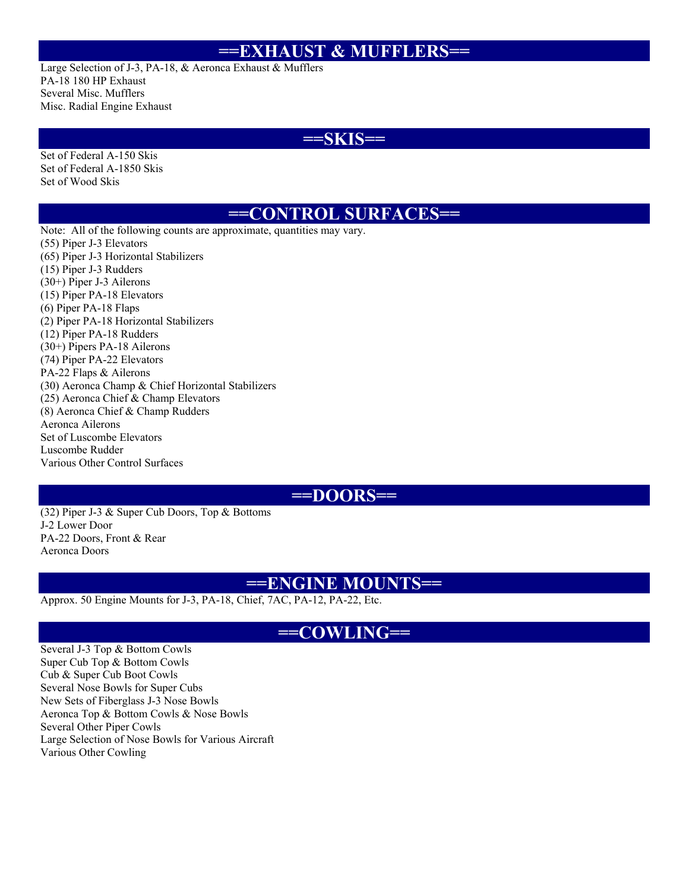### **==EXHAUST & MUFFLERS==**

Large Selection of J-3, PA-18, & Aeronca Exhaust & Mufflers PA-18 180 HP Exhaust Several Misc. Mufflers Misc. Radial Engine Exhaust

### **==SKIS==**

Set of Federal A-150 Skis Set of Federal A-1850 Skis Set of Wood Skis

### **==CONTROL SURFACES==**

Note: All of the following counts are approximate, quantities may vary. (55) Piper J-3 Elevators (65) Piper J-3 Horizontal Stabilizers (15) Piper J-3 Rudders (30+) Piper J-3 Ailerons (15) Piper PA-18 Elevators (6) Piper PA-18 Flaps (2) Piper PA-18 Horizontal Stabilizers (12) Piper PA-18 Rudders (30+) Pipers PA-18 Ailerons (74) Piper PA-22 Elevators PA-22 Flaps & Ailerons (30) Aeronca Champ & Chief Horizontal Stabilizers (25) Aeronca Chief & Champ Elevators (8) Aeronca Chief & Champ Rudders Aeronca Ailerons Set of Luscombe Elevators Luscombe Rudder Various Other Control Surfaces

### **==DOORS==**

(32) Piper J-3 & Super Cub Doors, Top & Bottoms J-2 Lower Door PA-22 Doors, Front & Rear Aeronca Doors

### **==ENGINE MOUNTS==**

Approx. 50 Engine Mounts for J-3, PA-18, Chief, 7AC, PA-12, PA-22, Etc.

### **==COWLING==**

Several J-3 Top & Bottom Cowls Super Cub Top & Bottom Cowls Cub & Super Cub Boot Cowls Several Nose Bowls for Super Cubs New Sets of Fiberglass J-3 Nose Bowls Aeronca Top & Bottom Cowls & Nose Bowls Several Other Piper Cowls Large Selection of Nose Bowls for Various Aircraft Various Other Cowling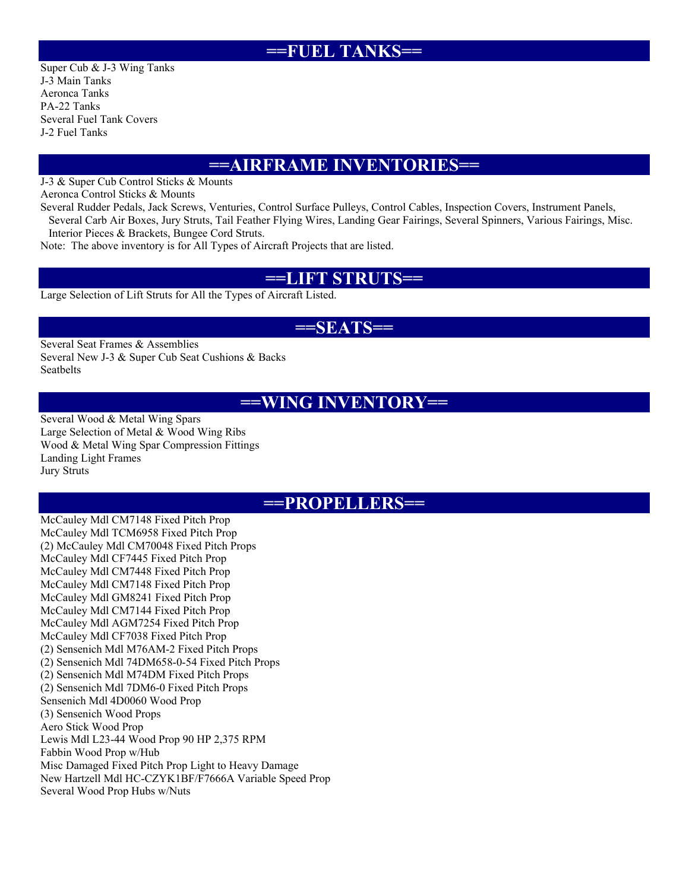### **==FUEL TANKS==**

Super Cub & J-3 Wing Tanks J-3 Main Tanks Aeronca Tanks PA-22 Tanks Several Fuel Tank Covers J-2 Fuel Tanks

## **==AIRFRAME INVENTORIES==**

J-3 & Super Cub Control Sticks & Mounts

Aeronca Control Sticks & Mounts

Several Rudder Pedals, Jack Screws, Venturies, Control Surface Pulleys, Control Cables, Inspection Covers, Instrument Panels, Several Carb Air Boxes, Jury Struts, Tail Feather Flying Wires, Landing Gear Fairings, Several Spinners, Various Fairings, Misc.

Interior Pieces & Brackets, Bungee Cord Struts.

Note: The above inventory is for All Types of Aircraft Projects that are listed.

### **==LIFT STRUTS==**

Large Selection of Lift Struts for All the Types of Aircraft Listed.

### **==SEATS==**

Several Seat Frames & Assemblies Several New J-3 & Super Cub Seat Cushions & Backs Seatbelts

### **==WING INVENTORY==**

Several Wood & Metal Wing Spars Large Selection of Metal & Wood Wing Ribs Wood & Metal Wing Spar Compression Fittings Landing Light Frames Jury Struts

### **==PROPELLERS==**

McCauley Mdl CM7148 Fixed Pitch Prop McCauley Mdl TCM6958 Fixed Pitch Prop (2) McCauley Mdl CM70048 Fixed Pitch Props McCauley Mdl CF7445 Fixed Pitch Prop McCauley Mdl CM7448 Fixed Pitch Prop McCauley Mdl CM7148 Fixed Pitch Prop McCauley Mdl GM8241 Fixed Pitch Prop McCauley Mdl CM7144 Fixed Pitch Prop McCauley Mdl AGM7254 Fixed Pitch Prop McCauley Mdl CF7038 Fixed Pitch Prop (2) Sensenich Mdl M76AM-2 Fixed Pitch Props (2) Sensenich Mdl 74DM658-0-54 Fixed Pitch Props (2) Sensenich Mdl M74DM Fixed Pitch Props (2) Sensenich Mdl 7DM6-0 Fixed Pitch Props Sensenich Mdl 4D0060 Wood Prop (3) Sensenich Wood Props Aero Stick Wood Prop Lewis Mdl L23-44 Wood Prop 90 HP 2,375 RPM Fabbin Wood Prop w/Hub Misc Damaged Fixed Pitch Prop Light to Heavy Damage New Hartzell Mdl HC-CZYK1BF/F7666A Variable Speed Prop Several Wood Prop Hubs w/Nuts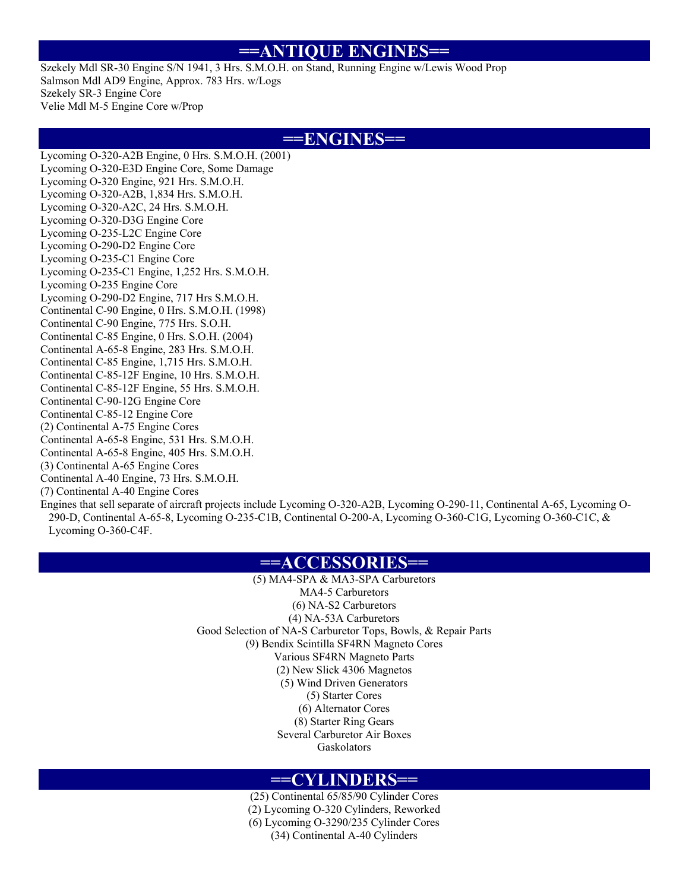### **==ANTIQUE ENGINES==**

Szekely Mdl SR-30 Engine S/N 1941, 3 Hrs. S.M.O.H. on Stand, Running Engine w/Lewis Wood Prop Salmson Mdl AD9 Engine, Approx. 783 Hrs. w/Logs Szekely SR-3 Engine Core Velie Mdl M-5 Engine Core w/Prop

### **==ENGINES==**

Lycoming O-320-A2B Engine, 0 Hrs. S.M.O.H. (2001) Lycoming O-320-E3D Engine Core, Some Damage Lycoming O-320 Engine, 921 Hrs. S.M.O.H. Lycoming O-320-A2B, 1,834 Hrs. S.M.O.H. Lycoming O-320-A2C, 24 Hrs. S.M.O.H. Lycoming O-320-D3G Engine Core Lycoming O-235-L2C Engine Core Lycoming O-290-D2 Engine Core Lycoming O-235-C1 Engine Core Lycoming O-235-C1 Engine, 1,252 Hrs. S.M.O.H. Lycoming O-235 Engine Core Lycoming O-290-D2 Engine, 717 Hrs S.M.O.H. Continental C-90 Engine, 0 Hrs. S.M.O.H. (1998) Continental C-90 Engine, 775 Hrs. S.O.H. Continental C-85 Engine, 0 Hrs. S.O.H. (2004) Continental A-65-8 Engine, 283 Hrs. S.M.O.H. Continental C-85 Engine, 1,715 Hrs. S.M.O.H. Continental C-85-12F Engine, 10 Hrs. S.M.O.H. Continental C-85-12F Engine, 55 Hrs. S.M.O.H. Continental C-90-12G Engine Core Continental C-85-12 Engine Core (2) Continental A-75 Engine Cores Continental A-65-8 Engine, 531 Hrs. S.M.O.H. Continental A-65-8 Engine, 405 Hrs. S.M.O.H. (3) Continental A-65 Engine Cores Continental A-40 Engine, 73 Hrs. S.M.O.H. (7) Continental A-40 Engine Cores

Engines that sell separate of aircraft projects include Lycoming O-320-A2B, Lycoming O-290-11, Continental A-65, Lycoming O-290-D, Continental A-65-8, Lycoming O-235-C1B, Continental O-200-A, Lycoming O-360-C1G, Lycoming O-360-C1C, & Lycoming O-360-C4F.

### **==ACCESSORIES==**

(5) MA4-SPA & MA3-SPA Carburetors MA4-5 Carburetors (6) NA-S2 Carburetors (4) NA-53A Carburetors Good Selection of NA-S Carburetor Tops, Bowls, & Repair Parts (9) Bendix Scintilla SF4RN Magneto Cores Various SF4RN Magneto Parts (2) New Slick 4306 Magnetos (5) Wind Driven Generators (5) Starter Cores (6) Alternator Cores (8) Starter Ring Gears Several Carburetor Air Boxes Gaskolators

### **==CYLINDERS==**

(25) Continental 65/85/90 Cylinder Cores (2) Lycoming O-320 Cylinders, Reworked (6) Lycoming O-3290/235 Cylinder Cores (34) Continental A-40 Cylinders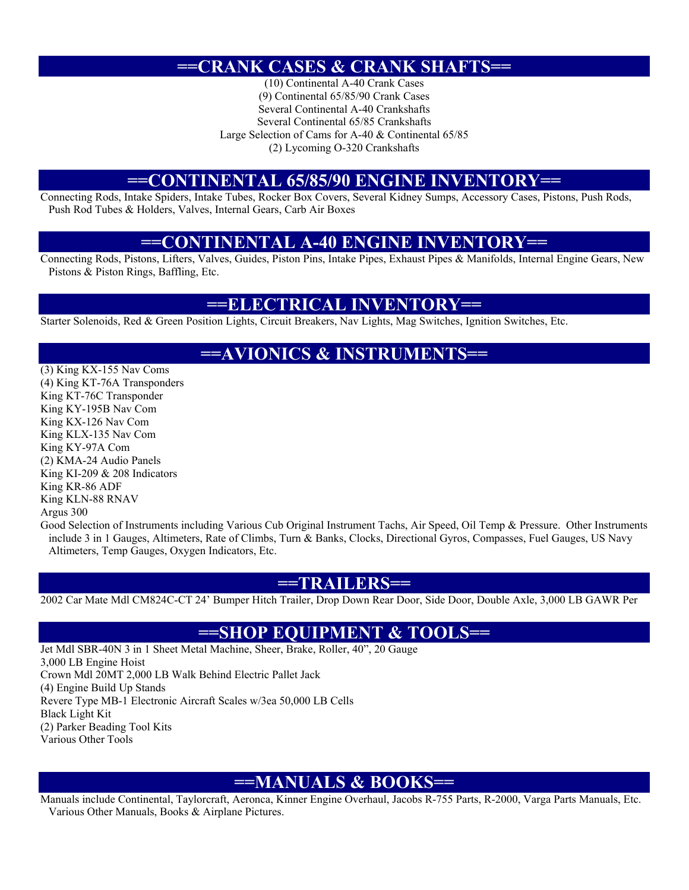## **==CRANK CASES & CRANK SHAFTS==**

(10) Continental A-40 Crank Cases (9) Continental 65/85/90 Crank Cases Several Continental A-40 Crankshafts Several Continental 65/85 Crankshafts Large Selection of Cams for A-40 & Continental 65/85 (2) Lycoming O-320 Crankshafts

### **==CONTINENTAL 65/85/90 ENGINE INVENTORY==**

Connecting Rods, Intake Spiders, Intake Tubes, Rocker Box Covers, Several Kidney Sumps, Accessory Cases, Pistons, Push Rods, Push Rod Tubes & Holders, Valves, Internal Gears, Carb Air Boxes

## **==CONTINENTAL A-40 ENGINE INVENTORY==**

Connecting Rods, Pistons, Lifters, Valves, Guides, Piston Pins, Intake Pipes, Exhaust Pipes & Manifolds, Internal Engine Gears, New Pistons & Piston Rings, Baffling, Etc.

### **==ELECTRICAL INVENTORY==**

Starter Solenoids, Red & Green Position Lights, Circuit Breakers, Nav Lights, Mag Switches, Ignition Switches, Etc.

## **==AVIONICS & INSTRUMENTS==**

(3) King KX-155 Nav Coms (4) King KT-76A Transponders King KT-76C Transponder King KY-195B Nav Com King KX-126 Nav Com King KLX-135 Nav Com King KY-97A Com (2) KMA-24 Audio Panels King KI-209 & 208 Indicators King KR-86 ADF King KLN-88 RNAV Argus 300

Good Selection of Instruments including Various Cub Original Instrument Tachs, Air Speed, Oil Temp & Pressure. Other Instruments include 3 in 1 Gauges, Altimeters, Rate of Climbs, Turn & Banks, Clocks, Directional Gyros, Compasses, Fuel Gauges, US Navy Altimeters, Temp Gauges, Oxygen Indicators, Etc.

### **==TRAILERS==**

2002 Car Mate Mdl CM824C-CT 24' Bumper Hitch Trailer, Drop Down Rear Door, Side Door, Double Axle, 3,000 LB GAWR Per

## **==SHOP EQUIPMENT & TOOLS==**

Jet Mdl SBR-40N 3 in 1 Sheet Metal Machine, Sheer, Brake, Roller, 40", 20 Gauge 3,000 LB Engine Hoist Crown Mdl 20MT 2,000 LB Walk Behind Electric Pallet Jack (4) Engine Build Up Stands Revere Type MB-1 Electronic Aircraft Scales w/3ea 50,000 LB Cells Black Light Kit (2) Parker Beading Tool Kits Various Other Tools

## **==MANUALS & BOOKS==**

Manuals include Continental, Taylorcraft, Aeronca, Kinner Engine Overhaul, Jacobs R-755 Parts, R-2000, Varga Parts Manuals, Etc. Various Other Manuals, Books & Airplane Pictures.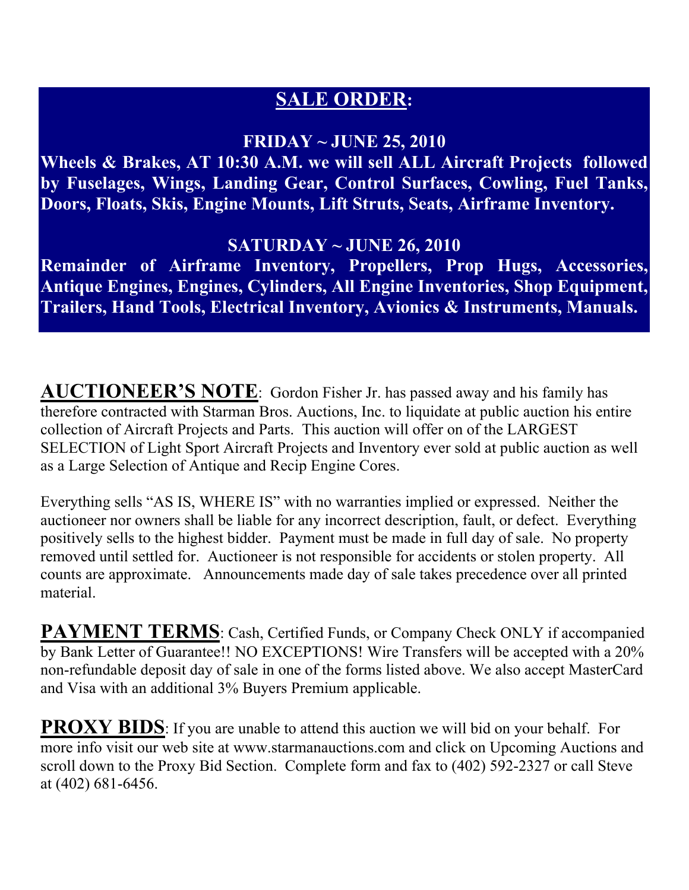# **SALE ORDER:**

## **FRIDAY ~ JUNE 25, 2010**

**Wheels & Brakes, AT 10:30 A.M. we will sell ALL Aircraft Projects followed by Fuselages, Wings, Landing Gear, Control Surfaces, Cowling, Fuel Tanks, Doors, Floats, Skis, Engine Mounts, Lift Struts, Seats, Airframe Inventory.** 

## **SATURDAY ~ JUNE 26, 2010**

**Remainder of Airframe Inventory, Propellers, Prop Hugs, Accessories, Antique Engines, Engines, Cylinders, All Engine Inventories, Shop Equipment, Trailers, Hand Tools, Electrical Inventory, Avionics & Instruments, Manuals.** 

**AUCTIONEER'S NOTE**: Gordon Fisher Jr. has passed away and his family has therefore contracted with Starman Bros. Auctions, Inc. to liquidate at public auction his entire collection of Aircraft Projects and Parts. This auction will offer on of the LARGEST SELECTION of Light Sport Aircraft Projects and Inventory ever sold at public auction as well as a Large Selection of Antique and Recip Engine Cores.

Everything sells "AS IS, WHERE IS" with no warranties implied or expressed. Neither the auctioneer nor owners shall be liable for any incorrect description, fault, or defect. Everything positively sells to the highest bidder. Payment must be made in full day of sale. No property removed until settled for. Auctioneer is not responsible for accidents or stolen property. All counts are approximate. Announcements made day of sale takes precedence over all printed material.

**PAYMENT TERMS**: Cash, Certified Funds, or Company Check ONLY if accompanied by Bank Letter of Guarantee!! NO EXCEPTIONS! Wire Transfers will be accepted with a 20% non-refundable deposit day of sale in one of the forms listed above. We also accept MasterCard and Visa with an additional 3% Buyers Premium applicable.

**PROXY BIDS**: If you are unable to attend this auction we will bid on your behalf. For more info visit our web site at www.starmanauctions.com and click on Upcoming Auctions and scroll down to the Proxy Bid Section. Complete form and fax to (402) 592-2327 or call Steve at (402) 681-6456.